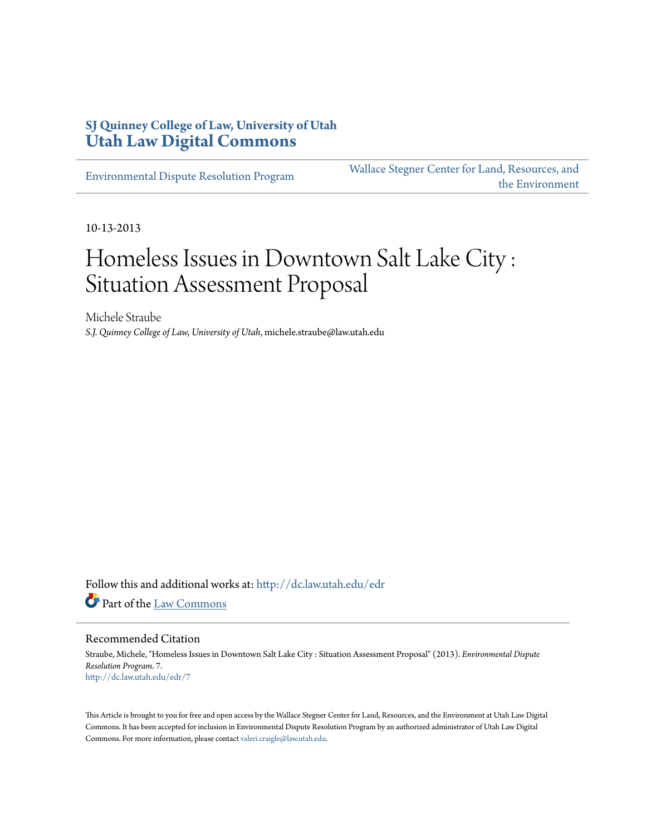### **SJ Quinney College of Law, University of Utah [Utah Law Digital Commons](http://dc.law.utah.edu?utm_source=dc.law.utah.edu%2Fedr%2F7&utm_medium=PDF&utm_campaign=PDFCoverPages)**

[Environmental Dispute Resolution Program](http://dc.law.utah.edu/edr?utm_source=dc.law.utah.edu%2Fedr%2F7&utm_medium=PDF&utm_campaign=PDFCoverPages)

[Wallace Stegner Center for Land, Resources, and](http://dc.law.utah.edu/stegner?utm_source=dc.law.utah.edu%2Fedr%2F7&utm_medium=PDF&utm_campaign=PDFCoverPages) [the Environment](http://dc.law.utah.edu/stegner?utm_source=dc.law.utah.edu%2Fedr%2F7&utm_medium=PDF&utm_campaign=PDFCoverPages)

10-13-2013

## Homeless Issues in Downtown Salt Lake City : Situation Assessment Proposal

Michele Straube *S.J. Quinney College of Law, University of Utah*, michele.straube@law.utah.edu

Follow this and additional works at: [http://dc.law.utah.edu/edr](http://dc.law.utah.edu/edr?utm_source=dc.law.utah.edu%2Fedr%2F7&utm_medium=PDF&utm_campaign=PDFCoverPages) Part of the [Law Commons](http://network.bepress.com/hgg/discipline/578?utm_source=dc.law.utah.edu%2Fedr%2F7&utm_medium=PDF&utm_campaign=PDFCoverPages)

#### Recommended Citation

Straube, Michele, "Homeless Issues in Downtown Salt Lake City : Situation Assessment Proposal" (2013). *Environmental Dispute Resolution Program*. 7. [http://dc.law.utah.edu/edr/7](http://dc.law.utah.edu/edr/7?utm_source=dc.law.utah.edu%2Fedr%2F7&utm_medium=PDF&utm_campaign=PDFCoverPages)

This Article is brought to you for free and open access by the Wallace Stegner Center for Land, Resources, and the Environment at Utah Law Digital Commons. It has been accepted for inclusion in Environmental Dispute Resolution Program by an authorized administrator of Utah Law Digital Commons. For more information, please contact [valeri.craigle@law.utah.edu](mailto:valeri.craigle@law.utah.edu).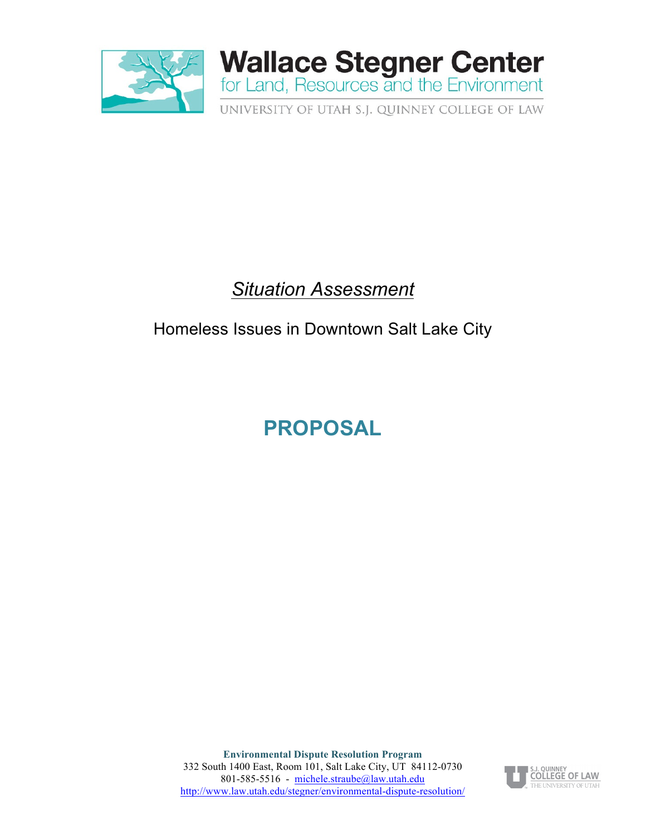

### *Situation Assessment*

### Homeless Issues in Downtown Salt Lake City

# **PROPOSAL**

**Environmental Dispute Resolution Program** 332 South 1400 East, Room 101, Salt Lake City, UT 84112-0730 801-585-5516 - michele.straube@law.utah.edu http://www.law.utah.edu/stegner/environmental-dispute-resolution/

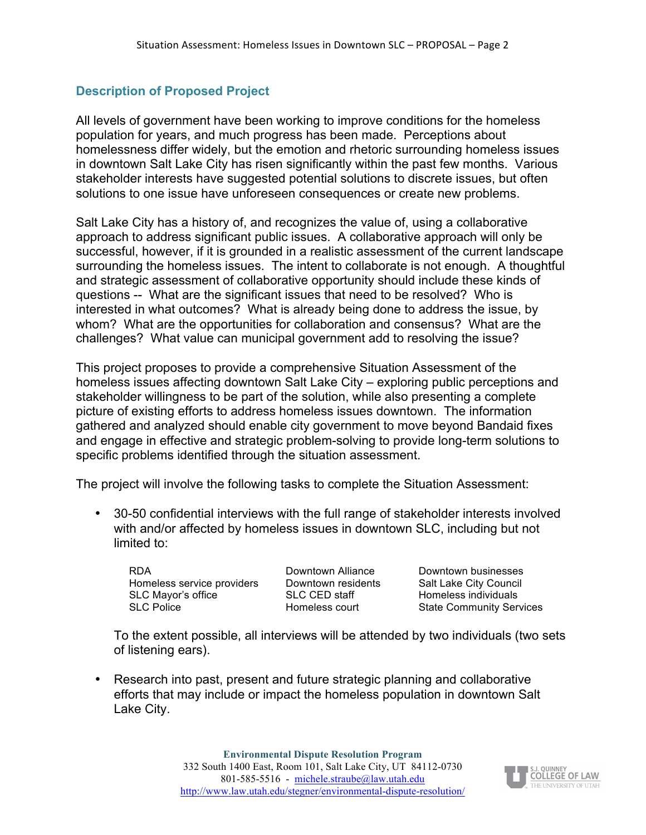### **Description of Proposed Project**

All levels of government have been working to improve conditions for the homeless population for years, and much progress has been made. Perceptions about homelessness differ widely, but the emotion and rhetoric surrounding homeless issues in downtown Salt Lake City has risen significantly within the past few months. Various stakeholder interests have suggested potential solutions to discrete issues, but often solutions to one issue have unforeseen consequences or create new problems.

Salt Lake City has a history of, and recognizes the value of, using a collaborative approach to address significant public issues. A collaborative approach will only be successful, however, if it is grounded in a realistic assessment of the current landscape surrounding the homeless issues. The intent to collaborate is not enough. A thoughtful and strategic assessment of collaborative opportunity should include these kinds of questions -- What are the significant issues that need to be resolved? Who is interested in what outcomes? What is already being done to address the issue, by whom? What are the opportunities for collaboration and consensus? What are the challenges? What value can municipal government add to resolving the issue?

This project proposes to provide a comprehensive Situation Assessment of the homeless issues affecting downtown Salt Lake City – exploring public perceptions and stakeholder willingness to be part of the solution, while also presenting a complete picture of existing efforts to address homeless issues downtown. The information gathered and analyzed should enable city government to move beyond Bandaid fixes and engage in effective and strategic problem-solving to provide long-term solutions to specific problems identified through the situation assessment.

The project will involve the following tasks to complete the Situation Assessment:

• 30-50 confidential interviews with the full range of stakeholder interests involved with and/or affected by homeless issues in downtown SLC, including but not limited to:

RDA Downtown Alliance Downtown businesses Homeless service providers Downtown residents Salt Lake City Council SLC Mayor's office SLC CED staff SLC Homeless individuals SLC Police **Subseter State Community Services** Homeless court State Community Services

To the extent possible, all interviews will be attended by two individuals (two sets of listening ears).

• Research into past, present and future strategic planning and collaborative efforts that may include or impact the homeless population in downtown Salt Lake City.

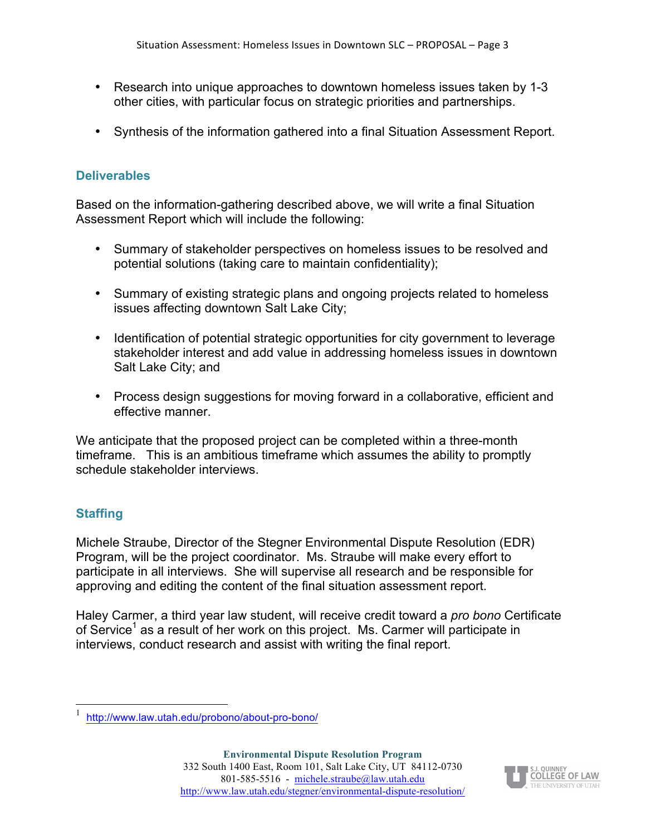- Research into unique approaches to downtown homeless issues taken by 1-3 other cities, with particular focus on strategic priorities and partnerships.
- Synthesis of the information gathered into a final Situation Assessment Report.

#### **Deliverables**

Based on the information-gathering described above, we will write a final Situation Assessment Report which will include the following:

- Summary of stakeholder perspectives on homeless issues to be resolved and potential solutions (taking care to maintain confidentiality);
- Summary of existing strategic plans and ongoing projects related to homeless issues affecting downtown Salt Lake City;
- Identification of potential strategic opportunities for city government to leverage stakeholder interest and add value in addressing homeless issues in downtown Salt Lake City; and
- Process design suggestions for moving forward in a collaborative, efficient and effective manner.

We anticipate that the proposed project can be completed within a three-month timeframe. This is an ambitious timeframe which assumes the ability to promptly schedule stakeholder interviews.

#### **Staffing**

Michele Straube, Director of the Stegner Environmental Dispute Resolution (EDR) Program, will be the project coordinator. Ms. Straube will make every effort to participate in all interviews. She will supervise all research and be responsible for approving and editing the content of the final situation assessment report.

Haley Carmer, a third year law student, will receive credit toward a *pro bono* Certificate of Service<sup>1</sup> as a result of her work on this project. Ms. Carmer will participate in interviews, conduct research and assist with writing the final report.



 <sup>1</sup> http://www.law.utah.edu/probono/about-pro-bono/